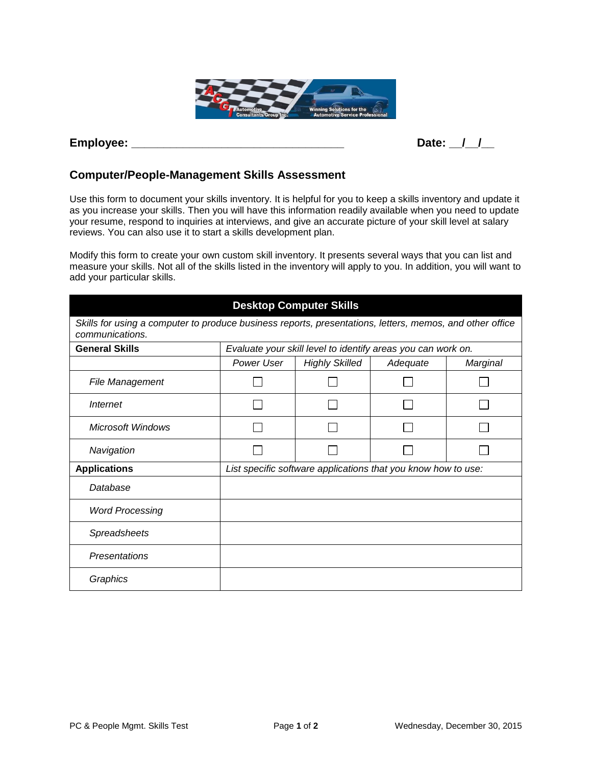

## **Employee: \_\_\_\_\_\_\_\_\_\_\_\_\_\_\_\_\_\_\_\_\_\_\_\_\_\_\_\_\_\_\_\_\_ Date: \_\_/\_\_/\_\_**

## **Computer/People-Management Skills Assessment**

Use this form to document your skills inventory. It is helpful for you to keep a skills inventory and update it as you increase your skills. Then you will have this information readily available when you need to update your resume, respond to inquiries at interviews, and give an accurate picture of your skill level at salary reviews. You can also use it to start a skills development plan.

Modify this form to create your own custom skill inventory. It presents several ways that you can list and measure your skills. Not all of the skills listed in the inventory will apply to you. In addition, you will want to add your particular skills.

| <b>Desktop Computer Skills</b>                                                                                              |            |                                                               |          |          |  |  |  |  |  |
|-----------------------------------------------------------------------------------------------------------------------------|------------|---------------------------------------------------------------|----------|----------|--|--|--|--|--|
| Skills for using a computer to produce business reports, presentations, letters, memos, and other office<br>communications. |            |                                                               |          |          |  |  |  |  |  |
| <b>General Skills</b>                                                                                                       |            | Evaluate your skill level to identify areas you can work on.  |          |          |  |  |  |  |  |
|                                                                                                                             | Power User | <b>Highly Skilled</b>                                         | Adequate | Marginal |  |  |  |  |  |
| File Management                                                                                                             |            |                                                               |          |          |  |  |  |  |  |
| Internet                                                                                                                    |            |                                                               |          |          |  |  |  |  |  |
| <b>Microsoft Windows</b>                                                                                                    |            |                                                               |          |          |  |  |  |  |  |
| Navigation                                                                                                                  |            |                                                               |          |          |  |  |  |  |  |
| <b>Applications</b>                                                                                                         |            | List specific software applications that you know how to use: |          |          |  |  |  |  |  |
| Database                                                                                                                    |            |                                                               |          |          |  |  |  |  |  |
| <b>Word Processing</b>                                                                                                      |            |                                                               |          |          |  |  |  |  |  |
| Spreadsheets                                                                                                                |            |                                                               |          |          |  |  |  |  |  |
| Presentations                                                                                                               |            |                                                               |          |          |  |  |  |  |  |
| Graphics                                                                                                                    |            |                                                               |          |          |  |  |  |  |  |